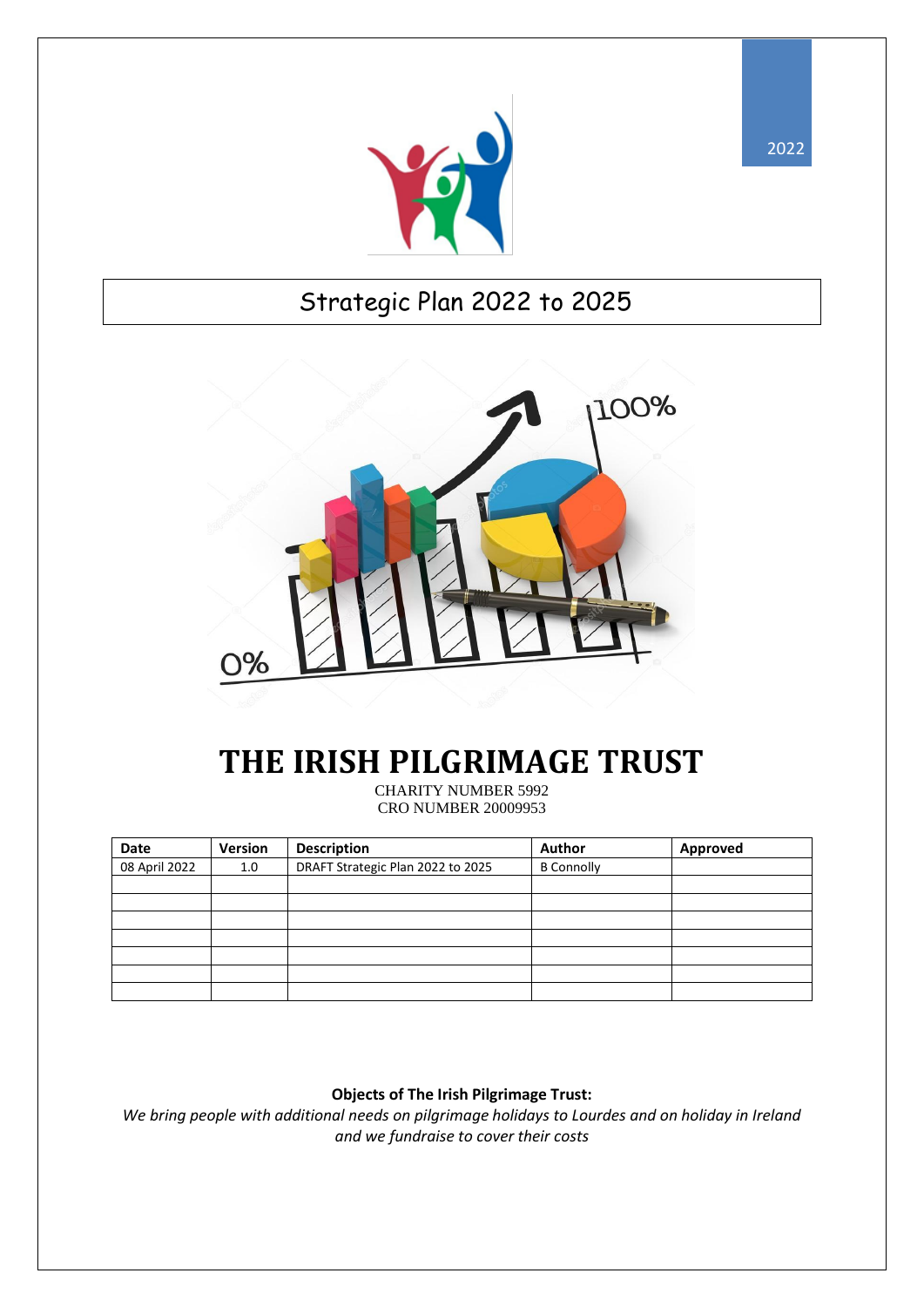

## Strategic Plan 2022 to 2025



## **THE IRISH PILGRIMAGE TRUST**

CHARITY NUMBER 5992 CRO NUMBER 20009953

| Date          | Version | <b>Description</b>                | Author            | Approved |
|---------------|---------|-----------------------------------|-------------------|----------|
| 08 April 2022 | 1.0     | DRAFT Strategic Plan 2022 to 2025 | <b>B</b> Connolly |          |
|               |         |                                   |                   |          |
|               |         |                                   |                   |          |
|               |         |                                   |                   |          |
|               |         |                                   |                   |          |
|               |         |                                   |                   |          |
|               |         |                                   |                   |          |
|               |         |                                   |                   |          |

#### **Objects of The Irish Pilgrimage Trust:**

*We bring people with additional needs on pilgrimage holidays to Lourdes and on holiday in Ireland and we fundraise to cover their costs*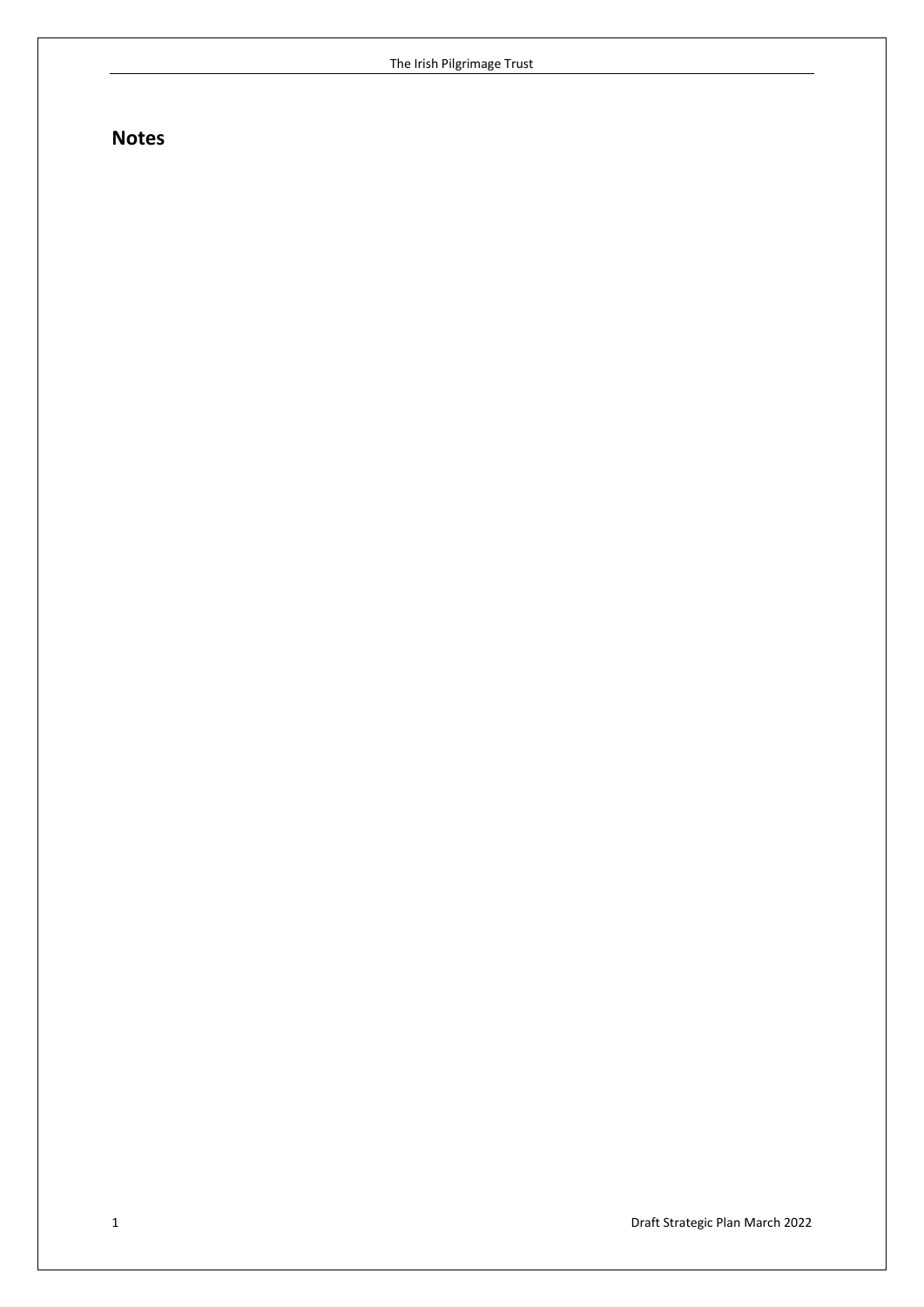### **Notes**

1 Draft Strategic Plan March 2022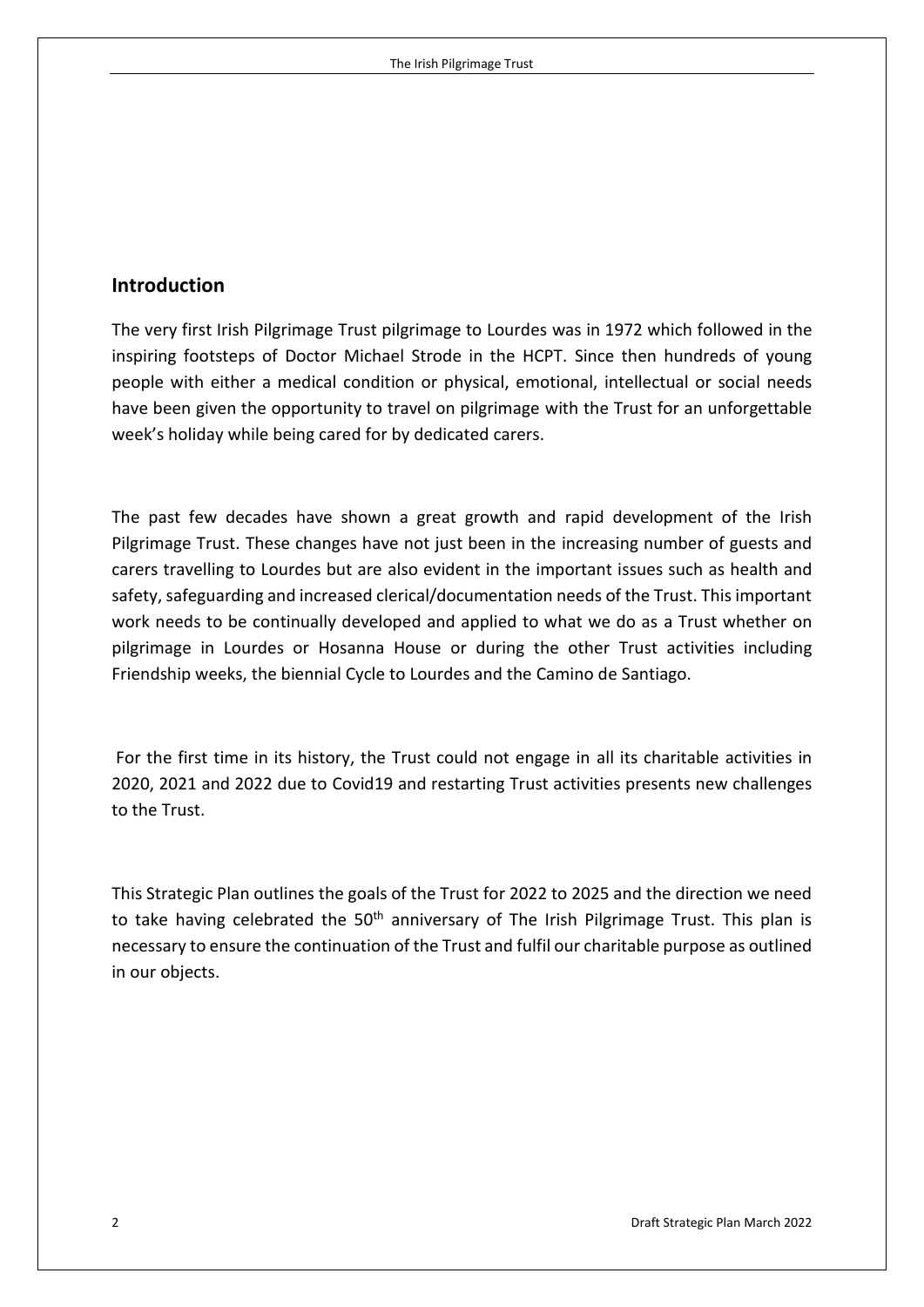#### **Introduction**

The very first Irish Pilgrimage Trust pilgrimage to Lourdes was in 1972 which followed in the inspiring footsteps of Doctor Michael Strode in the HCPT. Since then hundreds of young people with either a medical condition or physical, emotional, intellectual or social needs have been given the opportunity to travel on pilgrimage with the Trust for an unforgettable week's holiday while being cared for by dedicated carers.

The past few decades have shown a great growth and rapid development of the Irish Pilgrimage Trust. These changes have not just been in the increasing number of guests and carers travelling to Lourdes but are also evident in the important issues such as health and safety, safeguarding and increased clerical/documentation needs of the Trust. This important work needs to be continually developed and applied to what we do as a Trust whether on pilgrimage in Lourdes or Hosanna House or during the other Trust activities including Friendship weeks, the biennial Cycle to Lourdes and the Camino de Santiago.

For the first time in its history, the Trust could not engage in all its charitable activities in 2020, 2021 and 2022 due to Covid19 and restarting Trust activities presents new challenges to the Trust.

This Strategic Plan outlines the goals of the Trust for 2022 to 2025 and the direction we need to take having celebrated the  $50<sup>th</sup>$  anniversary of The Irish Pilgrimage Trust. This plan is necessary to ensure the continuation of the Trust and fulfil our charitable purpose as outlined in our objects.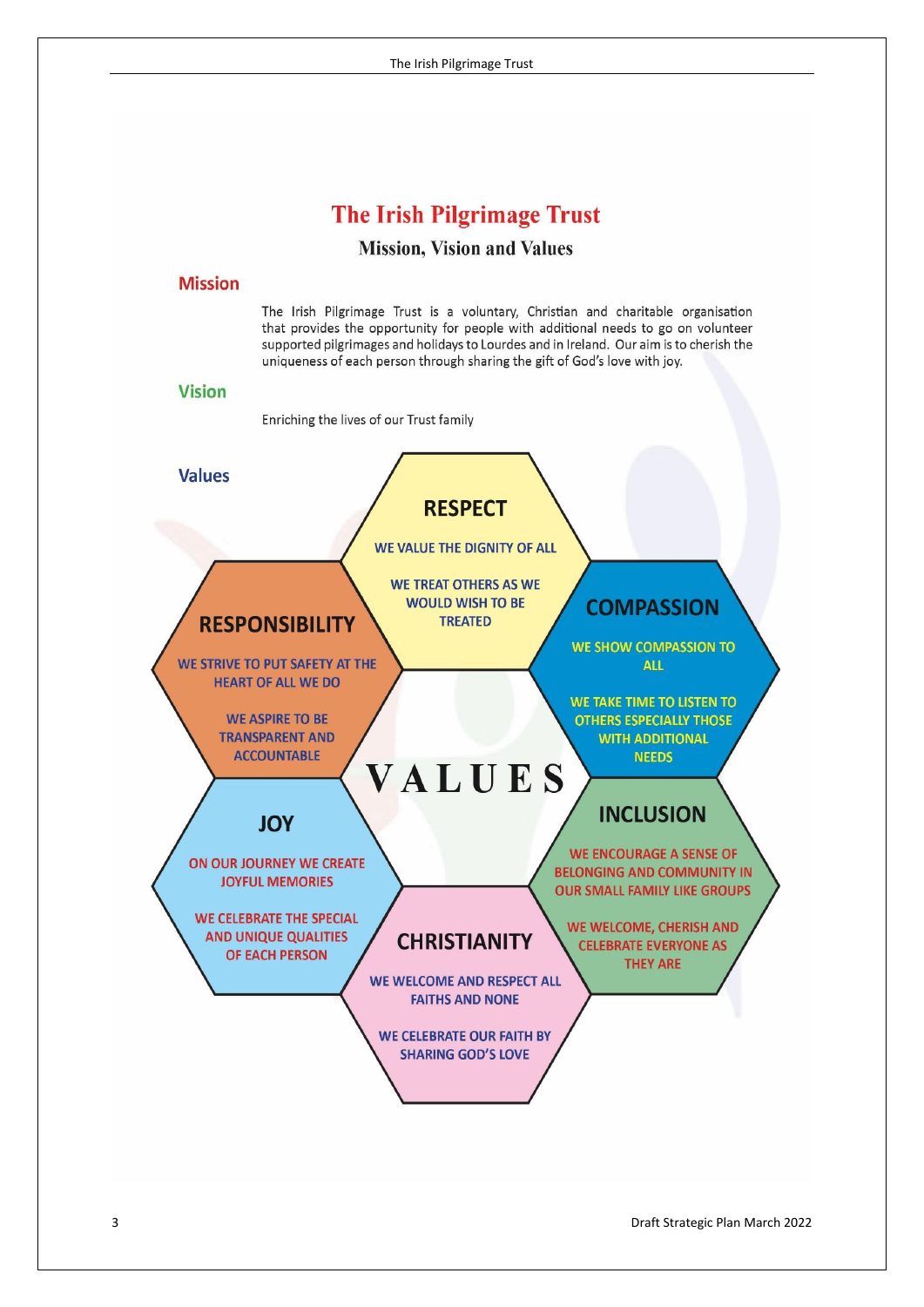## **The Irish Pilgrimage Trust**

#### **Mission, Vision and Values**

#### **Mission**

The Irish Pilgrimage Trust is a voluntary, Christian and charitable organisation that provides the opportunity for people with additional needs to go on volunteer supported pilgrimages and holidays to Lourdes and in Ireland. Our aim is to cherish the uniqueness of each person through sharing the gift of God's love with joy.

#### **Vision**

Enriching the lives of our Trust family

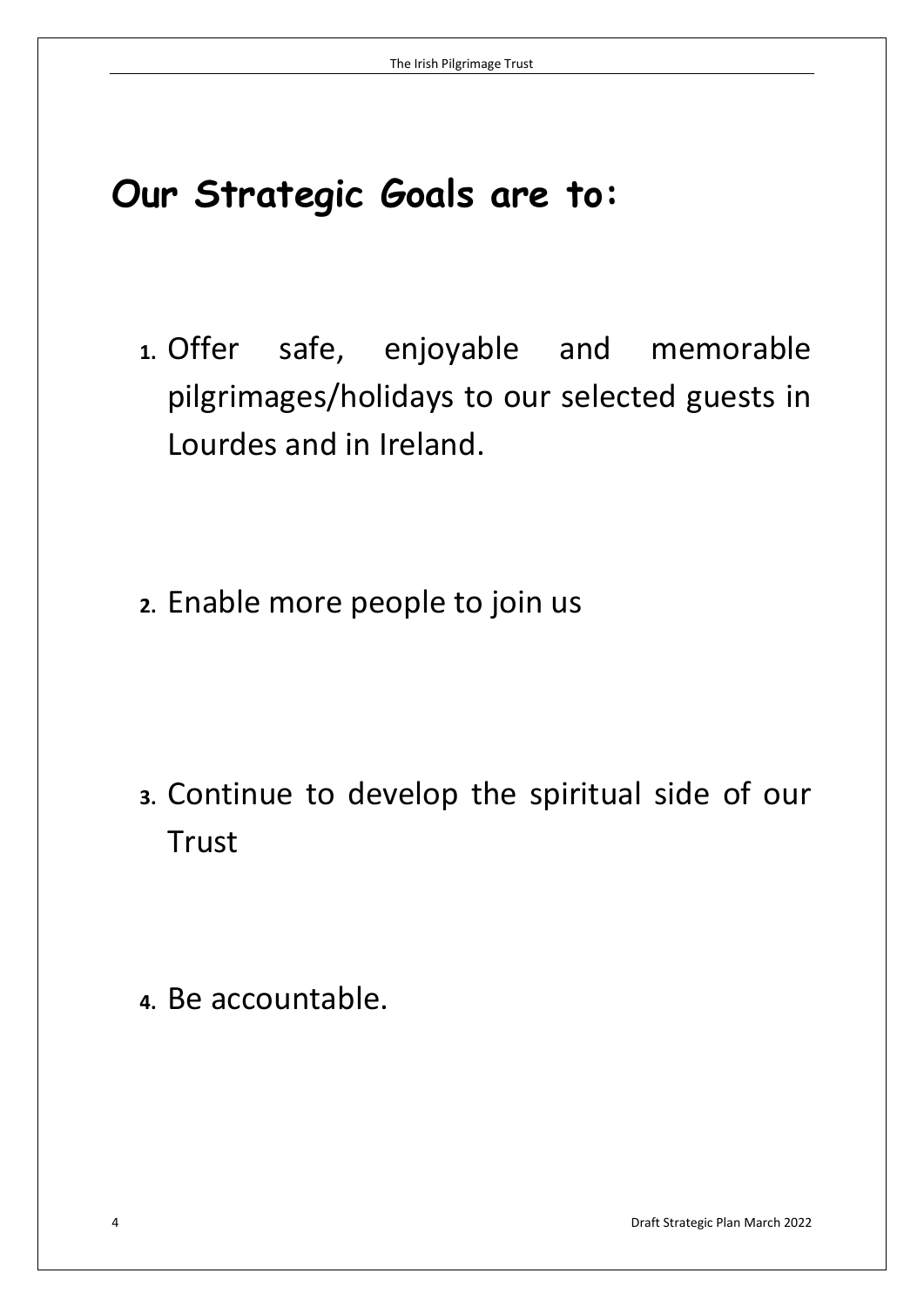# **Our Strategic Goals are to:**

- **1.** Offer safe, enjoyable and memorable pilgrimages/holidays to our selected guests in Lourdes and in Ireland.
- **2.** Enable more people to join us

- **3.** Continue to develop the spiritual side of our Trust
- **4.** Be accountable.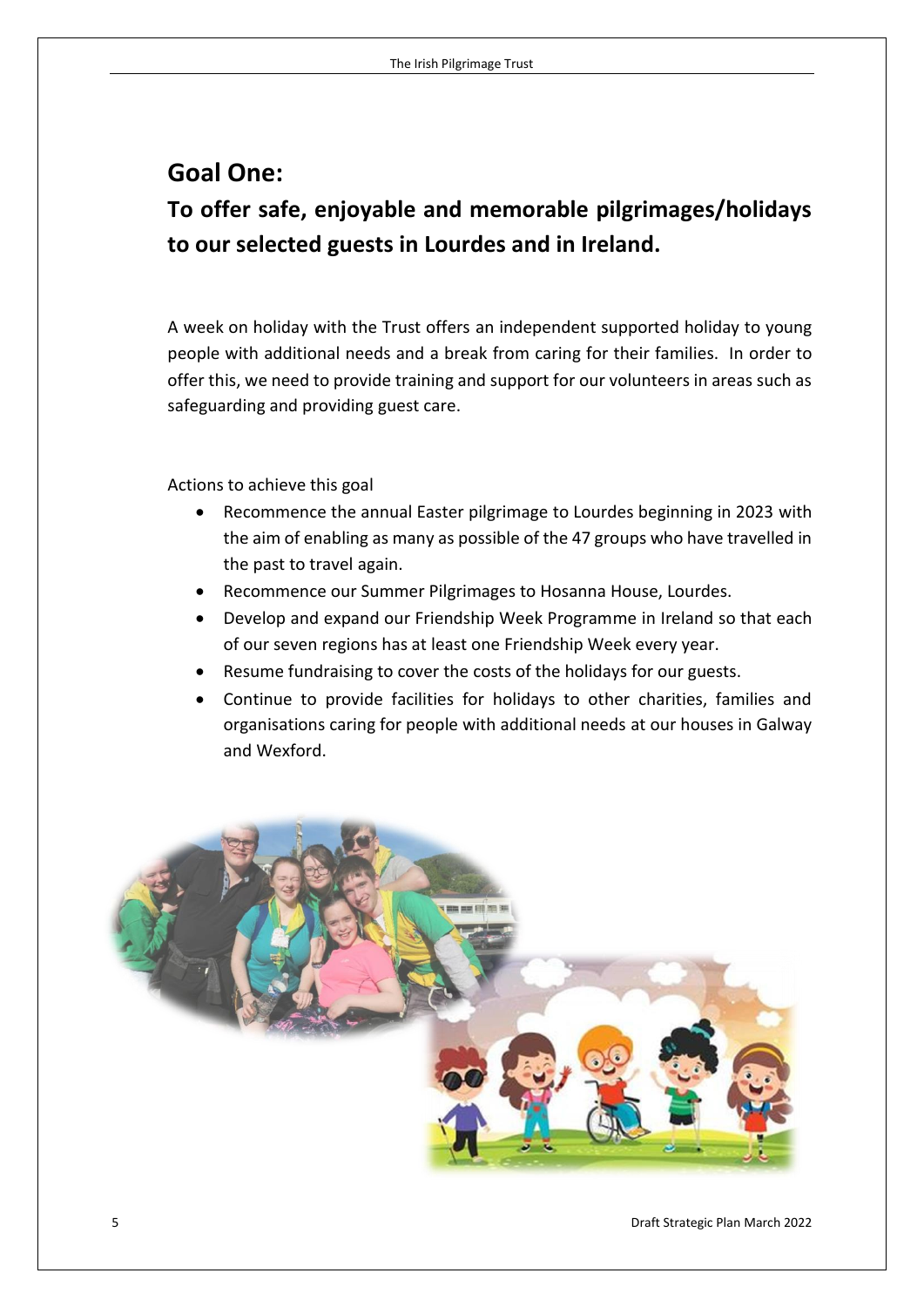## **Goal One:**

**To offer safe, enjoyable and memorable pilgrimages/holidays to our selected guests in Lourdes and in Ireland.**

A week on holiday with the Trust offers an independent supported holiday to young people with additional needs and a break from caring for their families. In order to offer this, we need to provide training and support for our volunteers in areas such as safeguarding and providing guest care.

Actions to achieve this goal

- Recommence the annual Easter pilgrimage to Lourdes beginning in 2023 with the aim of enabling as many as possible of the 47 groups who have travelled in the past to travel again.
- Recommence our Summer Pilgrimages to Hosanna House, Lourdes.
- Develop and expand our Friendship Week Programme in Ireland so that each of our seven regions has at least one Friendship Week every year.
- Resume fundraising to cover the costs of the holidays for our guests.
- Continue to provide facilities for holidays to other charities, families and organisations caring for people with additional needs at our houses in Galway and Wexford.

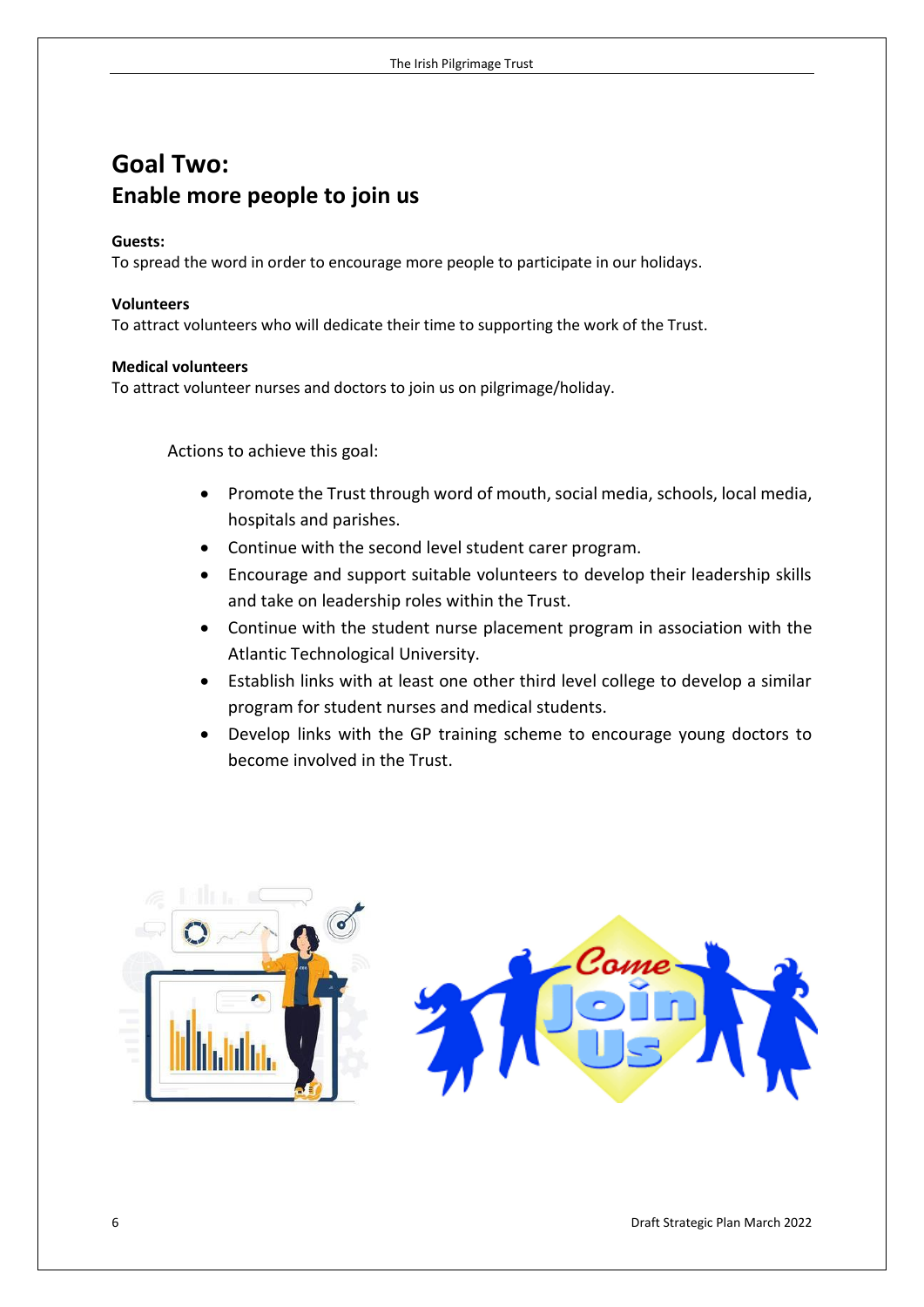## **Goal Two: Enable more people to join us**

#### **Guests:**

To spread the word in order to encourage more people to participate in our holidays.

#### **Volunteers**

To attract volunteers who will dedicate their time to supporting the work of the Trust.

#### **Medical volunteers**

To attract volunteer nurses and doctors to join us on pilgrimage/holiday.

Actions to achieve this goal:

- Promote the Trust through word of mouth, social media, schools, local media, hospitals and parishes.
- Continue with the second level student carer program.
- Encourage and support suitable volunteers to develop their leadership skills and take on leadership roles within the Trust.
- Continue with the student nurse placement program in association with the Atlantic Technological University.
- Establish links with at least one other third level college to develop a similar program for student nurses and medical students.
- Develop links with the GP training scheme to encourage young doctors to become involved in the Trust.

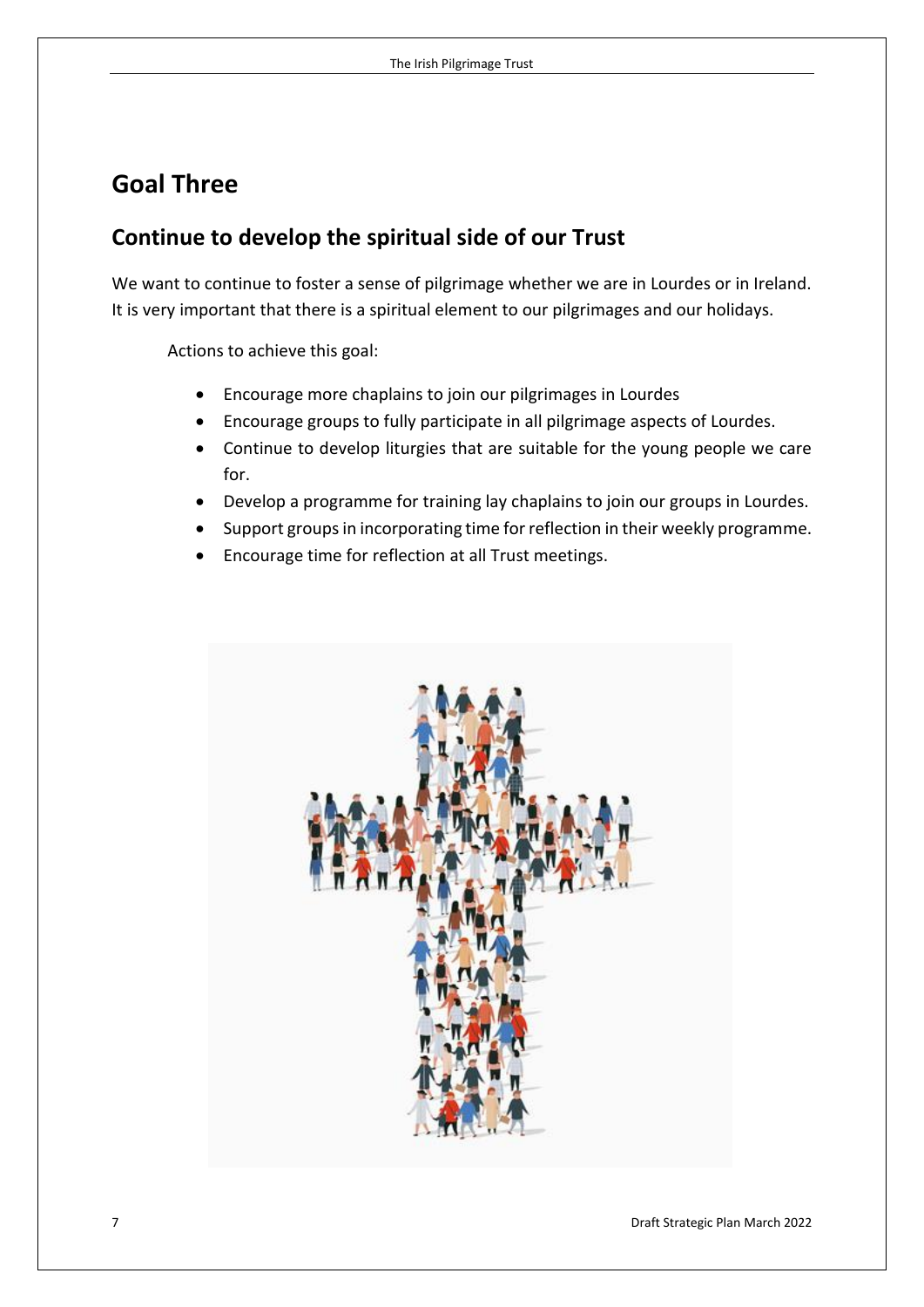## **Goal Three**

## **Continue to develop the spiritual side of our Trust**

We want to continue to foster a sense of pilgrimage whether we are in Lourdes or in Ireland. It is very important that there is a spiritual element to our pilgrimages and our holidays.

Actions to achieve this goal:

- Encourage more chaplains to join our pilgrimages in Lourdes
- Encourage groups to fully participate in all pilgrimage aspects of Lourdes.
- Continue to develop liturgies that are suitable for the young people we care for.
- Develop a programme for training lay chaplains to join our groups in Lourdes.
- Support groups in incorporating time for reflection in their weekly programme.
- Encourage time for reflection at all Trust meetings.

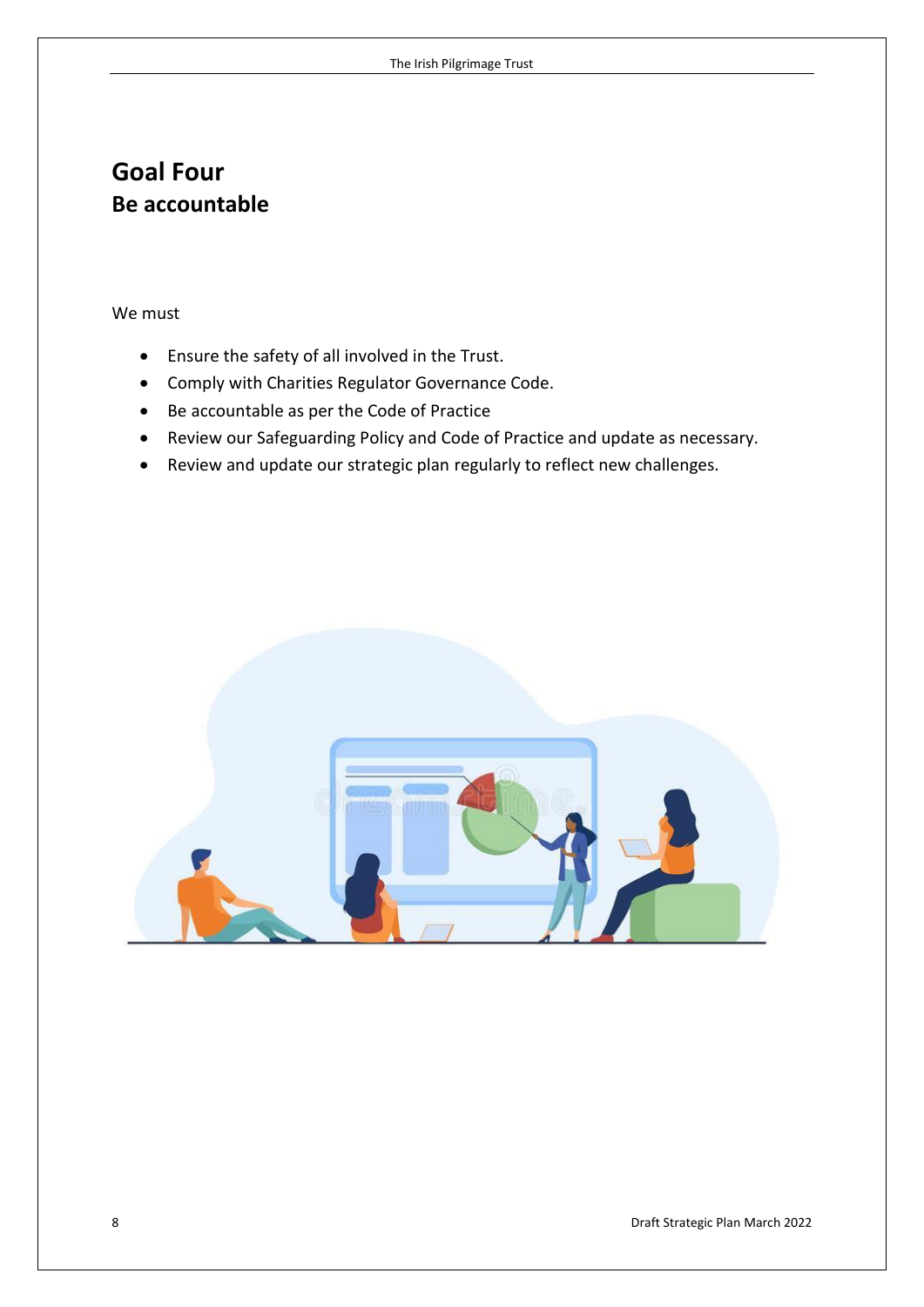## **Goal Four Be accountable**

We must

- Ensure the safety of all involved in the Trust.
- Comply with Charities Regulator Governance Code.
- Be accountable as per the Code of Practice
- Review our Safeguarding Policy and Code of Practice and update as necessary.
- Review and update our strategic plan regularly to reflect new challenges.